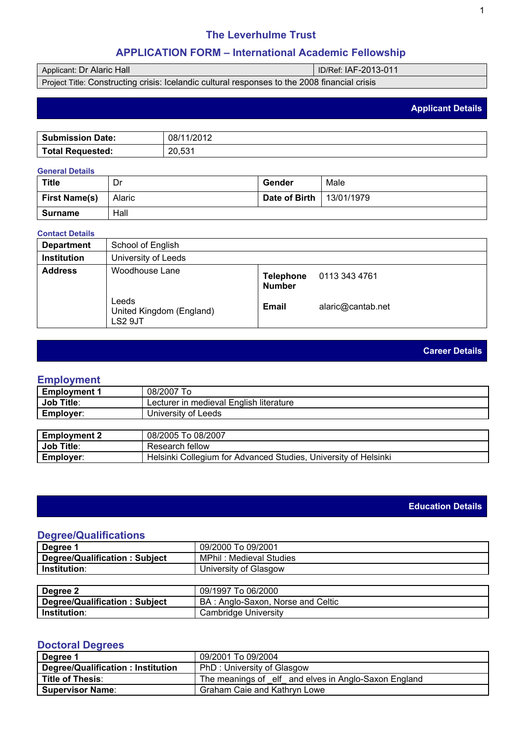### The Leverhulme Trust

#### APPLICATION FORM – International Academic Fellowship

### Applicant: Dr Alaric Hall ID/Ref: IAF-2013-011

Project Title: Constructing crisis: Icelandic cultural responses to the 2008 financial crisis

### Applicant Details

| Sub        | /ററ 1 റ                                       |
|------------|-----------------------------------------------|
| Date:      | 08/                                           |
| omission   | ـ ∟ ∪ا∠ '                                     |
|            |                                               |
| Total      | ro 4                                          |
| Requested: | ററ                                            |
|            | $\mathsf{L}\mathsf{U},\mathsf{U}\mathsf{U}$ i |

#### General Details

| <b>Title</b>  | Dr     | Gender        | Male       |
|---------------|--------|---------------|------------|
| First Name(s) | Alaric | Date of Birth | 13/01/1979 |
| Surname       | Hall   |               |            |

#### Contact Details

| Department  | School of English                            |                     |                   |
|-------------|----------------------------------------------|---------------------|-------------------|
| Institution | University of Leeds                          |                     |                   |
| Address     | Woodhouse Lane                               | Telephone<br>Number | 0113 343 4761     |
|             | Leeds<br>United Kingdom (England)<br>LS2 9JT | Email               | alaric@cantab.net |

### Career Details

### Employment

| <b>Employment 1</b> | 08/2007 To                              |
|---------------------|-----------------------------------------|
| Job Title:          | Lecturer in medieval English literature |
| Employer:           | University of Leeds                     |
|                     |                                         |
| Employment 2        | 08/2005 To 08/2007                      |
| Job Title:          | Research fellow                         |

# Employer: Helsinki Collegium for Advanced Studies, University of Helsinki

### Education Details

### Degree/Qualifications

| l Degree 1                       | 09/2000 To 09/2001      |
|----------------------------------|-------------------------|
| Degree/Qualification:<br>Subiect | MPhil: Medieval Studies |
| Institution:                     | University of Glasgow   |
|                                  |                         |

| Degree 2                         | 09/1997 To 06/2000                |
|----------------------------------|-----------------------------------|
| Degree/Qualification:<br>Subject | BA: Anglo-Saxon, Norse and Celtic |
| Institution:                     | Cambridge University              |

### Doctoral Degrees

| Degree 1                          | 09/2001 To 09/2004                                     |
|-----------------------------------|--------------------------------------------------------|
| Degree/Qualification: Institution | PhD: University of Glasgow                             |
| Title of Thesis:                  | The meanings of _elf_ and elves in Anglo-Saxon England |
| Supervisor Name                   | Graham Caie and Kathryn Lowe                           |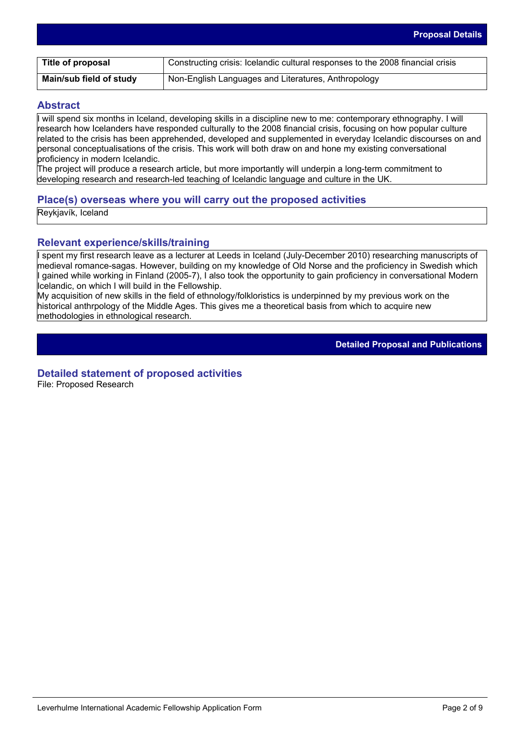| Title of proposal       | Constructing crisis: Icelandic cultural responses to the 2008 financial crisis |
|-------------------------|--------------------------------------------------------------------------------|
| Main/sub field of study | Non-English Languages and Literatures, Anthropology                            |

### **Abstract**

I will spend six months in Iceland, developing skills in a discipline new to me: contemporary ethnography. I will research how Icelanders have responded culturally to the 2008 financial crisis, focusing on how popular culture related to the crisis has been apprehended, developed and supplemented in everyday Icelandic discourses on and personal conceptualisations of the crisis. This work will both draw on and hone my existing conversational proficiency in modern Icelandic.

The project will produce a research article, but more importantly will underpin a long-term commitment to developing research and research-led teaching of Icelandic language and culture in the UK.

### **Place(s) overseas where you will carry out the proposed activities**

Reykjavík, Iceland

### **Relevant experience/skills/training**

I spent my first research leave as a lecturer at Leeds in Iceland (July-December 2010) researching manuscripts of medieval romance-sagas. However, building on my knowledge of Old Norse and the proficiency in Swedish which I gained while working in Finland (2005-7), I also took the opportunity to gain proficiency in conversational Modern Icelandic, on which I will build in the Fellowship.

My acquisition of new skills in the field of ethnology/folkloristics is underpinned by my previous work on the historical anthrpology of the Middle Ages. This gives me a theoretical basis from which to acquire new methodologies in ethnological research.

**Detailed Proposal and Publications**

### **Detailed statement of proposed activities**

File: Proposed Research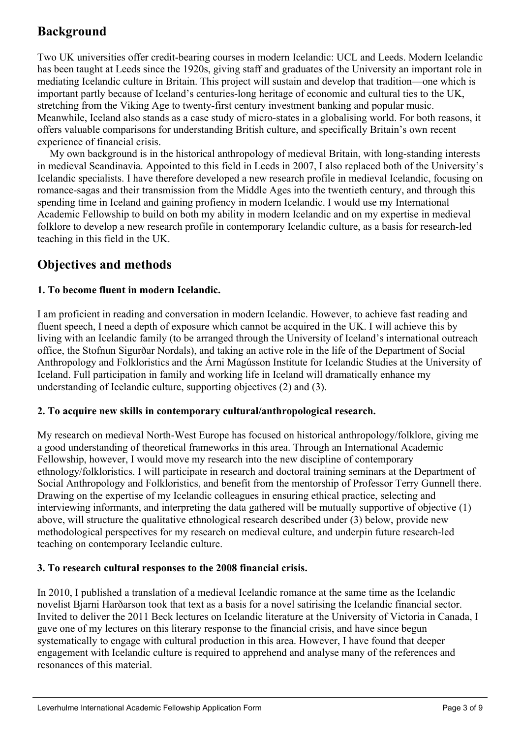# **Background**

Two UK universities offer credit-bearing courses in modern Icelandic: UCL and Leeds. Modern Icelandic has been taught at Leeds since the 1920s, giving staff and graduates of the University an important role in mediating Icelandic culture in Britain. This project will sustain and develop that tradition—one which is important partly because of Iceland's centuries-long heritage of economic and cultural ties to the UK, stretching from the Viking Age to twenty-first century investment banking and popular music. Meanwhile, Iceland also stands as a case study of micro-states in a globalising world. For both reasons, it offers valuable comparisons for understanding British culture, and specifically Britain's own recent experience of financial crisis.

My own background is in the historical anthropology of medieval Britain, with long-standing interests in medieval Scandinavia. Appointed to this field in Leeds in 2007, I also replaced both of the University's Icelandic specialists. I have therefore developed a new research profile in medieval Icelandic, focusing on romance-sagas and their transmission from the Middle Ages into the twentieth century, and through this spending time in Iceland and gaining profiency in modern Icelandic. I would use my International Academic Fellowship to build on both my ability in modern Icelandic and on my expertise in medieval folklore to develop a new research profile in contemporary Icelandic culture, as a basis for research-led teaching in this field in the UK.

## **Objectives and methods**

### **1. To become fluent in modern Icelandic.**

I am proficient in reading and conversation in modern Icelandic. However, to achieve fast reading and fluent speech, I need a depth of exposure which cannot be acquired in the UK. I will achieve this by living with an Icelandic family (to be arranged through the University of Iceland's international outreach office, the Stofnun Sigurðar Nordals), and taking an active role in the life of the Department of Social Anthropology and Folkloristics and the Árni Magússon Institute for Icelandic Studies at the University of Iceland. Full participation in family and working life in Iceland will dramatically enhance my understanding of Icelandic culture, supporting objectives (2) and (3).

### **2. To acquire new skills in contemporary cultural/anthropological research.**

My research on medieval North-West Europe has focused on historical anthropology/folklore, giving me a good understanding of theoretical frameworks in this area. Through an International Academic Fellowship, however, I would move my research into the new discipline of contemporary ethnology/folkloristics. I will participate in research and doctoral training seminars at the Department of Social Anthropology and Folkloristics, and benefit from the mentorship of Professor Terry Gunnell there. Drawing on the expertise of my Icelandic colleagues in ensuring ethical practice, selecting and interviewing informants, and interpreting the data gathered will be mutually supportive of objective (1) above, will structure the qualitative ethnological research described under (3) below, provide new methodological perspectives for my research on medieval culture, and underpin future research-led teaching on contemporary Icelandic culture.

### **3. To research cultural responses to the 2008 financial crisis.**

In 2010, I published a translation of a medieval Icelandic romance at the same time as the Icelandic novelist Bjarni Harðarson took that text as a basis for a novel satirising the Icelandic financial sector. Invited to deliver the 2011 Beck lectures on Icelandic literature at the University of Victoria in Canada, I gave one of my lectures on this literary response to the financial crisis, and have since begun systematically to engage with cultural production in this area. However, I have found that deeper engagement with Icelandic culture is required to apprehend and analyse many of the references and resonances of this material.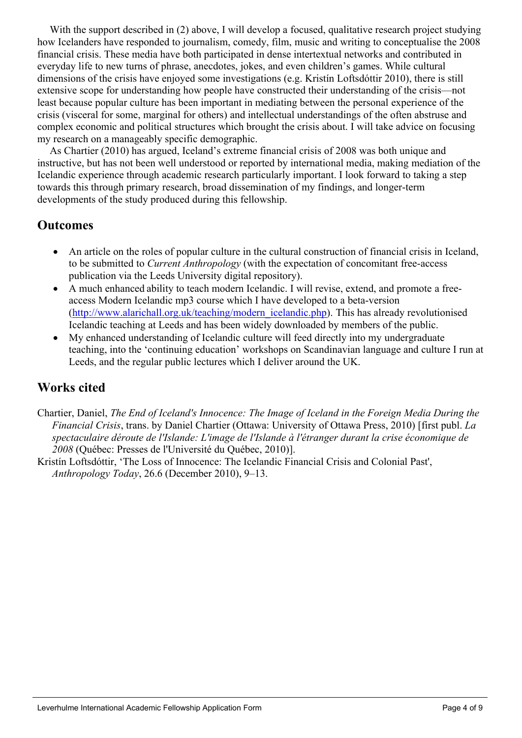With the support described in (2) above, I will develop a sed, qualitative researphoject studying how Icelanders have responded to journalism, comedy, milionalic and writing to conceptualishe 2008 financial crisis. These media ave both participated densentertextual networks and contributed in everyday lifeto newturns of phrase, anecdotes, jokasdevenchildren'sgames.While cultural dimensions of the crisis have enjoyed meinvestigations (e.g. Kristí boftsdóttir 2010), there is still extensive scope for understanding how people baxetructed their understanding the crisis—not least becaus popular culture has been important in mediating between the person aberience of the crisis (visceral for some, marginal for others) intellectual understandings of the often abstruse and complex economic and politicatructureswhich brought the crisis about. I will take advice on focusing my research on manageably specific demographic.

As Chartier (2010) has argued, Iceland's extreme financial **or 2008** was bothunique and instructive, but has not been well derstood r reported by international media, making diation of the Icelandic experience through tademicresearch particularly important. I look forward taking a step towards this through primaresearchbroaddissemination my findings, and longer-term developments of the tudy produced during this ellowship.

## **Outcomes**

An article on theroles of popular culturen the cultural construction of financial crisisiceland, to be submitted Current Anthropology (with the expectation of concomitant free-access publication viathe Leeds University digital repository).

A much enhanced ability to teach modern Icelandic. I will revise, extend, and promit access Modern Icelandic mp3 course which I have developed betta-version ([http://www.alarichall.org.uk/teaching/modern\\_icelandic.](http://www.alarichall.org.uk/teaching/modern_icelandic.php)phplis has alreadyrevolutionised Icelandic teaching t Leeds and has been widely downloaded by members of the public. My enhanced understanding of Icelandic culture will feed directly intoundergraduate teaching, intothe 'continuing education workshops on Scandinavian language and culture I run at Leeds, and the regular ublic lectures which I deliver around the UK.

### Works cited

- Chartier, Daniel, The End of Iceland's Innocence: The Imalgeland in the Foreign Media During the Financial Crisis, trans. by Daniel Chartier (Ottawa: University of Ottawa Press, 2010) [first publ. La spectaculaire déroutee l'Islande: L'image deslande à l'étranger durant lacrise économique de 2008 (Québec: Presses de l'Université du Québec, 2010)].
- Kristín Loftsdóttir, 'The Lossof Innocence:The Icelandic Financia Crisis and Colonial Past', Anthropology Today, 26.6 (December 2010), 9–13.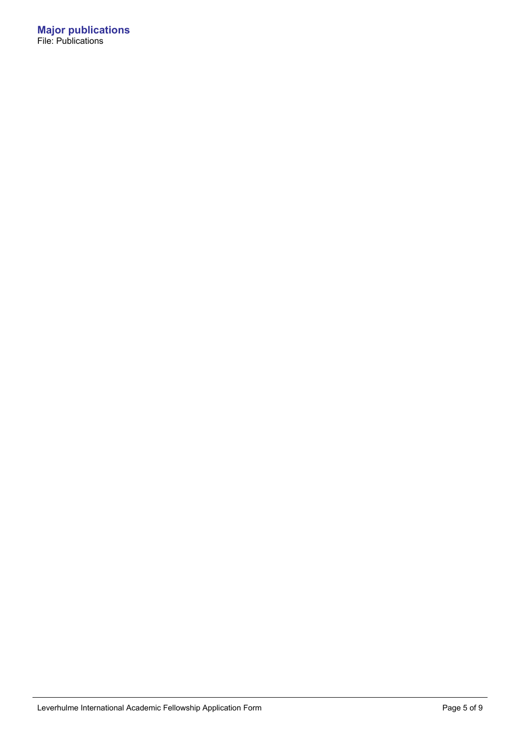**Major publications** File: Publications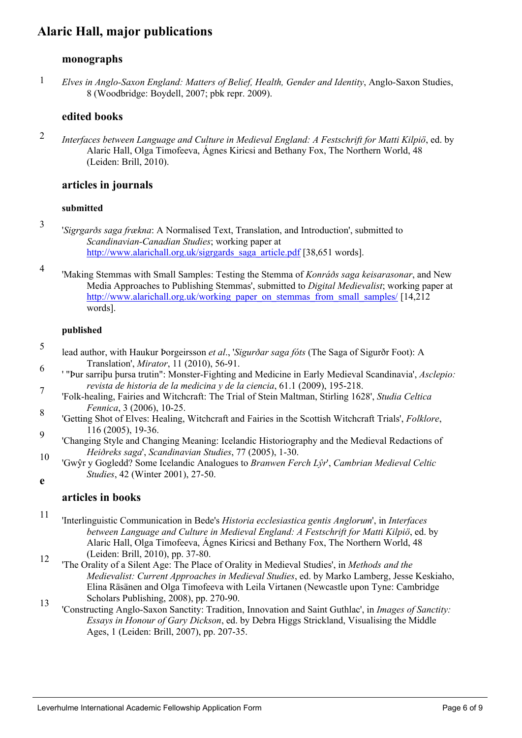# Alaric Hall, major publications

### monographs

1 Elves in Anglo-Saxon England: Mattersbelief, Health, Gender and Identity, Anglo-Saxon Studie 8 (WoodbridgeBoydell, 2007; pbk rep $2009$ ).

### edited books

2 Interfaces between Language and Culture in Medieval England: A Festschrift for Matti Kilpiö, e Alaric Hall, OlgaTimofeeva Ágnes Kiricsi and Bethany Foxhe Northern World, 48 (Leiden: Brill, 2010).

### articles in journals

submitted

- 3 'Sigrgarðssaga frækna: A Normalised Text, Translationd Introduction'submitted to Scandinavian-Canadian Studiesorking paper at [http://www.alarichall.org.uk/sigrgards\\_saga\\_article](http://www.alarichall.org.uk/sigrgards_saga_article.pdf).<sup>[386</sup>,651 words].
- 4 'Making Stemmasvith SmallSamples: Testing the Stemma of Konráðs saga keisarasonar, and Media Approaches to Publishing Stemmas', submitted to Digital Medievalist; working pa [http://www.alarichall.org.uk/working\\_paper\\_on\\_stemmas\\_from\\_small\\_sam](http://www.alarichall.org.uk/working_paper_on_stemmas_from_small_samples/)ples. words].

published

- 5 lead authorwith HaukurÞorgeirsson et al., 'Sigurðar saga fóts (The Saga of Sigurðr Foot): A Translation', Mirator, 11 (2010), 56-91.
- 6 7 ' "Þur sarriþu þursa trutin": Monster-Fighting and Medicine in Elaldedieval Scandinavia', Asclepio: revista de historiade la medicinay de la ciencia, 61.1 (2009), 195-218.
- 8 'Folk-healing, Fairies andWitchcraft:The Trial ofStein Maltman, Stirling 1628', Studia Celtica Fennica, 3 (2006)10-25.
- 9 'Getting Shot of Elves: Healing, Witchcraft and Fairies in the Scottish Witchcrafrials', Folklore, 116 (2005),19-36.
- 10 'Changing Style and hanging Meaning: Iceland id istoriography and the Medieval Redactions of Heiðreks saga', Scandinaviatudies, 77 (2005), 1-30.
- 1? T y Gogled80 me Icelandic Analogues to Branwen Fero S', Cambrian Medieval Celtic Studies, 42 (Winte2001), 27-50.
- e

### articles in books

- 11 12 'Interlinguistic Communication in Bede's Historia ecclesiastica gentis Anglorum', in Interfaces between Language and Culture in Medie England: A Festschriftor Matti Kilpiö, ed.by Alaric Hall, OlgaTimofeeva,Ágnes Kiricsi and Bethany FoXheNorthern World. 48 (Leiden: Brill, 2010),pp. 37-80.
- 13 'The Orality of aSilent Age: The Place of Orality in Medieval Studies', in Methands the Medievalist: Current Approaches Medieval Studiesed.by Marko Lamberg, Jesse Keskiah Elina Räsänenad Olga Timofeeva with Leildirtanen (Newcastle upon Tyneambridge Scholars Publishino 2008), pp. 270-90.
- 'Constructing Anglo-Saxon Sanctity: Traditionnovation and Saint Guthlac', in Images of Sanctiti Essays in Honour of GarDickson, ed. by Debra Higgs Strickland Sualising the Middle Ages, 1 (LeidenBrill, 2007), pp. 207-35.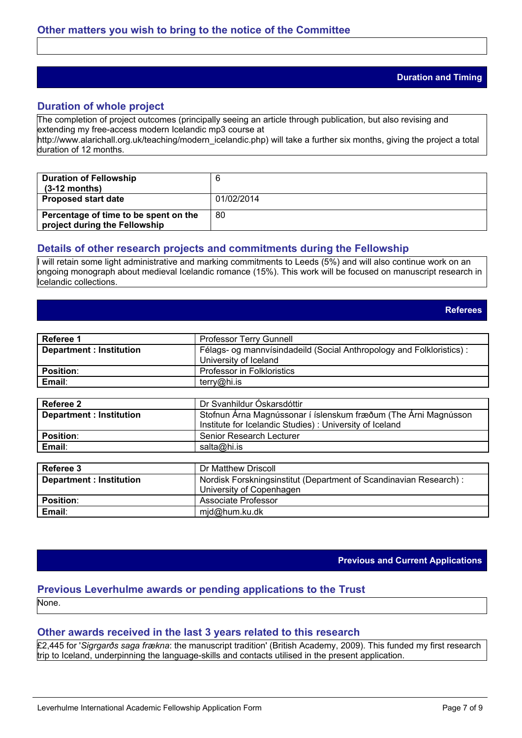#### **Duration and Timing**

### **Duration of whole project**

The completion of project outcomes (principally seeing an article through publication, but also revising and extending my free-access modern Icelandic mp3 course at

http://www.alarichall.org.uk/teaching/modern\_icelandic.php) will take a further six months, giving the project a total duration of 12 months.

| <b>Duration of Fellowship</b><br>$(3-12$ months)                       |            |
|------------------------------------------------------------------------|------------|
| <b>Proposed start date</b>                                             | 01/02/2014 |
| Percentage of time to be spent on the<br>project during the Fellowship | 80         |

### **Details of other research projects and commitments during the Fellowship**

I will retain some light administrative and marking commitments to Leeds (5%) and will also continue work on an ongoing monograph about medieval Icelandic romance (15%). This work will be focused on manuscript research in Icelandic collections.

**Referees**

| Referee 1                      | <b>Professor Terry Gunnell</b>                                        |
|--------------------------------|-----------------------------------------------------------------------|
| <b>Department: Institution</b> | Félags- og mannvísindadeild (Social Anthropology and Folkloristics) : |
|                                | University of Iceland                                                 |
| <b>Position:</b>               | Professor in Folkloristics                                            |
| Email:                         | terry@hi.is                                                           |

| Referee 2                      | Dr Svanhildur Óskarsdóttir                                                                                                 |
|--------------------------------|----------------------------------------------------------------------------------------------------------------------------|
| <b>Department: Institution</b> | Stofnun Árna Magnússonar í íslenskum fræðum (The Árni Magnússon<br>Institute for Icelandic Studies): University of Iceland |
| <b>Position:</b>               | Senior Research Lecturer                                                                                                   |
| Email:                         | salta@hi.is                                                                                                                |

| Referee 3                      | Dr Matthew Driscoll                                               |  |
|--------------------------------|-------------------------------------------------------------------|--|
| <b>Department: Institution</b> | Nordisk Forskningsinstitut (Department of Scandinavian Research): |  |
|                                | University of Copenhagen                                          |  |
| <b>Position:</b>               | Associate Professor                                               |  |
| Email:                         | mjd@hum.ku.dk                                                     |  |

**Previous and Current Applications**

#### **Previous Leverhulme awards or pending applications to the Trust** None.

### **Other awards received in the last 3 years related to this research**

£2,445 for '*Sigrgarðs saga frækna*: the manuscript tradition' (British Academy, 2009). This funded my first research trip to Iceland, underpinning the language-skills and contacts utilised in the present application.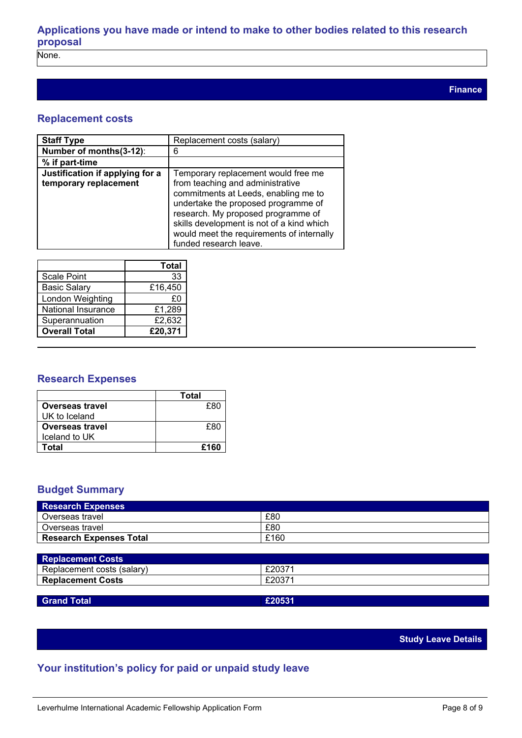## **Applications you have made or intend to make to other bodies related to this research proposal**

None.

### **Replacement costs**

| <b>Staff Type</b>                                        | Replacement costs (salary)                                                                                                                                                                                                                                                                                       |
|----------------------------------------------------------|------------------------------------------------------------------------------------------------------------------------------------------------------------------------------------------------------------------------------------------------------------------------------------------------------------------|
| Number of months(3-12):                                  | 6                                                                                                                                                                                                                                                                                                                |
| % if part-time                                           |                                                                                                                                                                                                                                                                                                                  |
| Justification if applying for a<br>temporary replacement | Temporary replacement would free me<br>from teaching and administrative<br>commitments at Leeds, enabling me to<br>undertake the proposed programme of<br>research. My proposed programme of<br>skills development is not of a kind which<br>would meet the requirements of internally<br>funded research leave. |

|                      | <b>Total</b> |
|----------------------|--------------|
| <b>Scale Point</b>   | 33           |
| <b>Basic Salary</b>  | £16,450      |
| London Weighting     | £0           |
| National Insurance   | £1,289       |
| Superannuation       | £2,632       |
| <b>Overall Total</b> | £20,371      |

### **Research Expenses**

|                        | Total |
|------------------------|-------|
| <b>Overseas travel</b> | £80   |
| UK to Iceland          |       |
| <b>Overseas travel</b> | £80   |
| Iceland to UK          |       |
| Total                  | £160  |

### **Budget Summary**

| <b>Research Expenses</b>       |      |
|--------------------------------|------|
| l Overseas travel              | £80  |
| l Overseas travel              | £80  |
| <b>Research Expenses Total</b> | £160 |

| <b>Replacement Costs</b>   |        |  |
|----------------------------|--------|--|
| Replacement costs (salary) | £20371 |  |
| <b>Replacement Costs</b>   | £20371 |  |
|                            |        |  |

### **Grand Total £20531**

### **Study Leave Details**

### **Your institution's policy for paid or unpaid study leave**

**Finance**